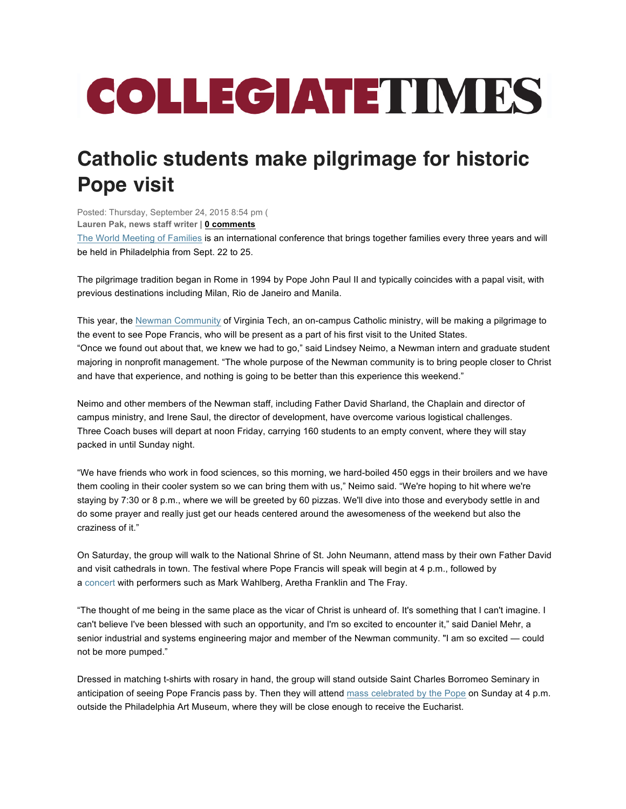## **COLLEGIATETIMES**

## **Catholic students make pilgrimage for historic Pope visit**

Posted: Thursday, September 24, 2015 8:54 pm (

**Lauren Pak, news staff writer | 0 comments**

The World Meeting of Families is an international conference that brings together families every three years and will be held in Philadelphia from Sept. 22 to 25.

The pilgrimage tradition began in Rome in 1994 by Pope John Paul II and typically coincides with a papal visit, with previous destinations including Milan, Rio de Janeiro and Manila.

This year, the Newman Community of Virginia Tech, an on-campus Catholic ministry, will be making a pilgrimage to the event to see Pope Francis, who will be present as a part of his first visit to the United States. "Once we found out about that, we knew we had to go," said Lindsey Neimo, a Newman intern and graduate student majoring in nonprofit management. "The whole purpose of the Newman community is to bring people closer to Christ and have that experience, and nothing is going to be better than this experience this weekend."

Neimo and other members of the Newman staff, including Father David Sharland, the Chaplain and director of campus ministry, and Irene Saul, the director of development, have overcome various logistical challenges. Three Coach buses will depart at noon Friday, carrying 160 students to an empty convent, where they will stay packed in until Sunday night.

"We have friends who work in food sciences, so this morning, we hard-boiled 450 eggs in their broilers and we have them cooling in their cooler system so we can bring them with us," Neimo said. "We're hoping to hit where we're staying by 7:30 or 8 p.m., where we will be greeted by 60 pizzas. We'll dive into those and everybody settle in and do some prayer and really just get our heads centered around the awesomeness of the weekend but also the craziness of it."

On Saturday, the group will walk to the National Shrine of St. John Neumann, attend mass by their own Father David and visit cathedrals in town. The festival where Pope Francis will speak will begin at 4 p.m., followed by a concert with performers such as Mark Wahlberg, Aretha Franklin and The Fray.

"The thought of me being in the same place as the vicar of Christ is unheard of. It's something that I can't imagine. I can't believe I've been blessed with such an opportunity, and I'm so excited to encounter it," said Daniel Mehr, a senior industrial and systems engineering major and member of the Newman community. "I am so excited — could not be more pumped."

Dressed in matching t-shirts with rosary in hand, the group will stand outside Saint Charles Borromeo Seminary in anticipation of seeing Pope Francis pass by. Then they will attend mass celebrated by the Pope on Sunday at 4 p.m. outside the Philadelphia Art Museum, where they will be close enough to receive the Eucharist.